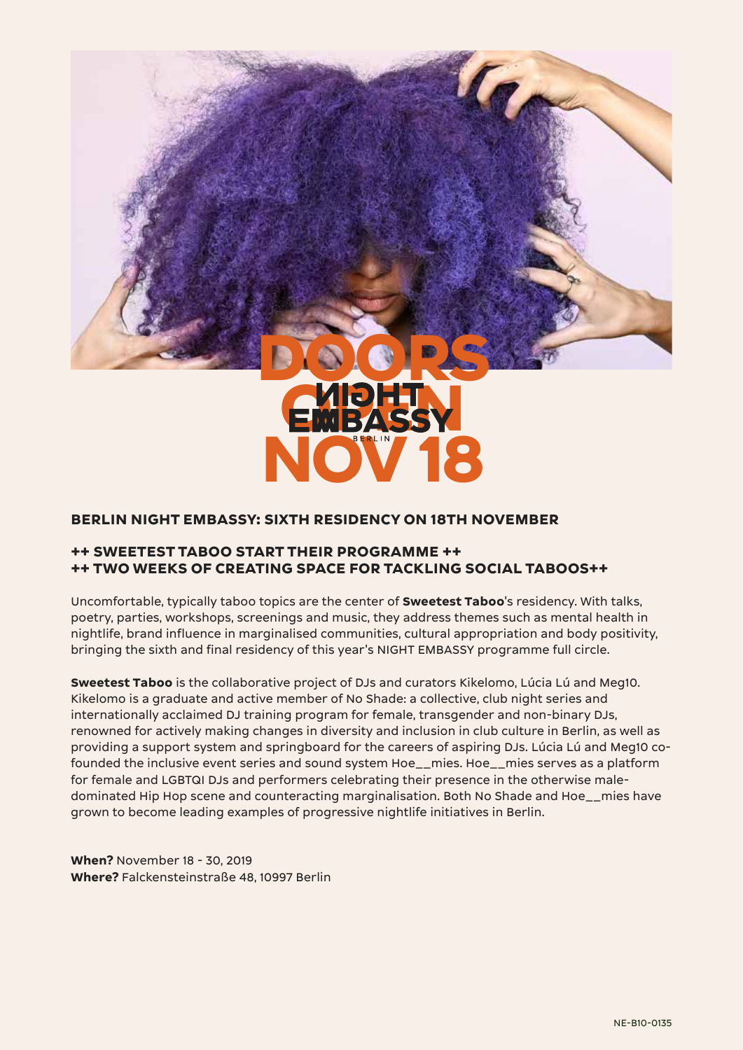

### **BERLIN NIGHT EMBASSY: SIXTH RESIDENCY ON 18TH NOVEMBER**

## **++ SWEETEST TABOO START THEIR PROGRAMME ++ ++ TWO WEEKS OF CREATING SPACE FOR TACKLING SOCIAL TABOOS++**

Uncomfortable, typically taboo topics are the center of **Sweetest Taboo**'s residency. With talks, poetry, parties, workshops, screenings and music, they address themes such as mental health in nightlife, brand influence in marginalised communities, cultural appropriation and body positivity, bringing the sixth and final residency of this year's NIGHT EMBASSY programme full circle.

**Sweetest Taboo** is the collaborative project of DJs and curators Kikelomo, Lúcia Lú and Meg10. Kikelomo is a graduate and active member of No Shade: a collective, club night series and internationally acclaimed DJ training program for female, transgender and non-binary DJs, renowned for actively making changes in diversity and inclusion in club culture in Berlin, as well as providing a support system and springboard for the careers of aspiring DJs. Lúcia Lú and Meg10 cofounded the inclusive event series and sound system Hoe\_\_mies. Hoe\_\_mies serves as a platform for female and LGBTQI DJs and performers celebrating their presence in the otherwise maledominated Hip Hop scene and counteracting marginalisation. Both No Shade and Hoe\_\_mies have grown to become leading examples of progressive nightlife initiatives in Berlin.

**When?** November 18 - 30, 2019 **Where?** Falckensteinstraße 48, 10997 Berlin